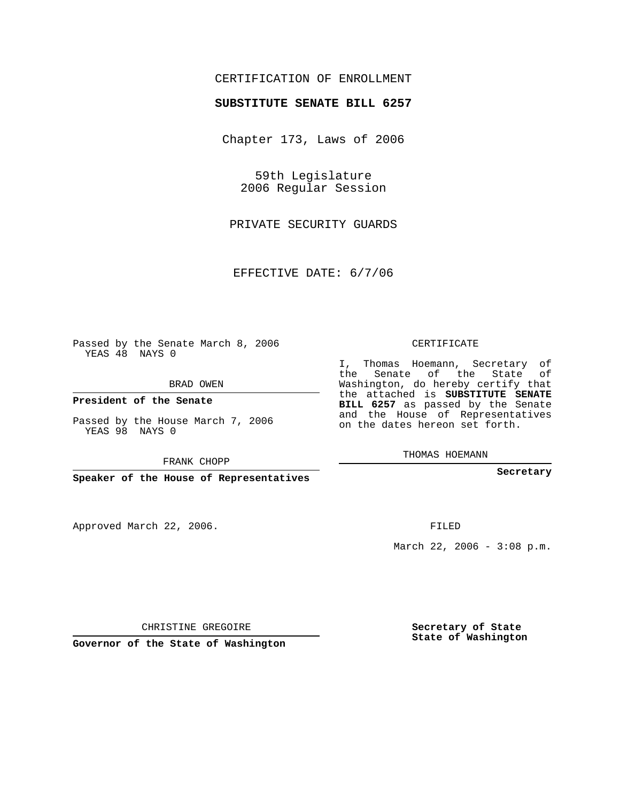## CERTIFICATION OF ENROLLMENT

## **SUBSTITUTE SENATE BILL 6257**

Chapter 173, Laws of 2006

59th Legislature 2006 Regular Session

PRIVATE SECURITY GUARDS

EFFECTIVE DATE: 6/7/06

Passed by the Senate March 8, 2006 YEAS 48 NAYS 0

BRAD OWEN

**President of the Senate**

Passed by the House March 7, 2006 YEAS 98 NAYS 0

FRANK CHOPP

**Speaker of the House of Representatives**

Approved March 22, 2006.

CERTIFICATE

I, Thomas Hoemann, Secretary of the Senate of the State of Washington, do hereby certify that the attached is **SUBSTITUTE SENATE BILL 6257** as passed by the Senate and the House of Representatives on the dates hereon set forth.

THOMAS HOEMANN

**Secretary**

FILED

March 22, 2006 - 3:08 p.m.

CHRISTINE GREGOIRE

**Governor of the State of Washington**

**Secretary of State State of Washington**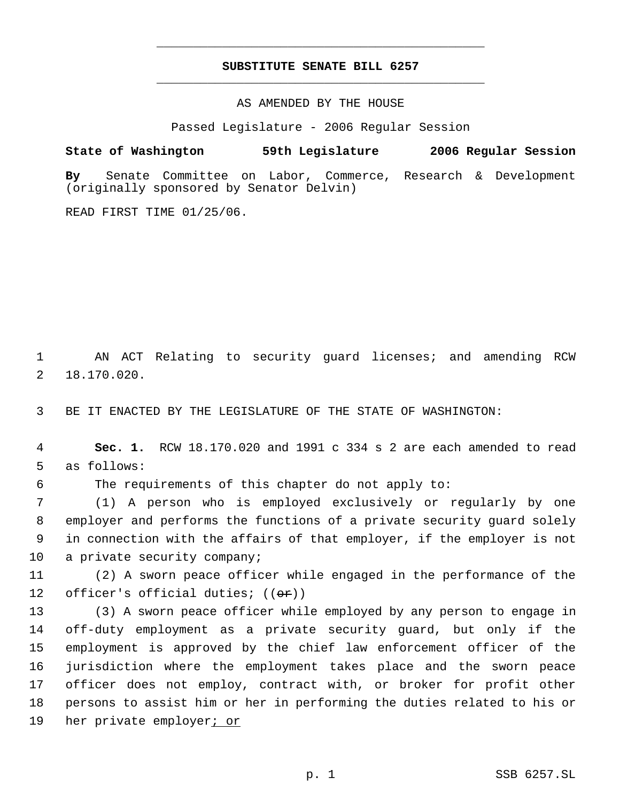## **SUBSTITUTE SENATE BILL 6257** \_\_\_\_\_\_\_\_\_\_\_\_\_\_\_\_\_\_\_\_\_\_\_\_\_\_\_\_\_\_\_\_\_\_\_\_\_\_\_\_\_\_\_\_\_

\_\_\_\_\_\_\_\_\_\_\_\_\_\_\_\_\_\_\_\_\_\_\_\_\_\_\_\_\_\_\_\_\_\_\_\_\_\_\_\_\_\_\_\_\_

AS AMENDED BY THE HOUSE

Passed Legislature - 2006 Regular Session

**State of Washington 59th Legislature 2006 Regular Session**

**By** Senate Committee on Labor, Commerce, Research & Development (originally sponsored by Senator Delvin)

READ FIRST TIME 01/25/06.

 1 AN ACT Relating to security guard licenses; and amending RCW 2 18.170.020.

3 BE IT ENACTED BY THE LEGISLATURE OF THE STATE OF WASHINGTON:

 4 **Sec. 1.** RCW 18.170.020 and 1991 c 334 s 2 are each amended to read 5 as follows:

6 The requirements of this chapter do not apply to:

 (1) A person who is employed exclusively or regularly by one employer and performs the functions of a private security guard solely in connection with the affairs of that employer, if the employer is not 10 a private security company;

11 (2) A sworn peace officer while engaged in the performance of the 12 officer's official duties;  $((\theta \cdot \hat{r}))$ 

 (3) A sworn peace officer while employed by any person to engage in off-duty employment as a private security guard, but only if the employment is approved by the chief law enforcement officer of the jurisdiction where the employment takes place and the sworn peace officer does not employ, contract with, or broker for profit other persons to assist him or her in performing the duties related to his or 19 her private employer<u>; or</u>